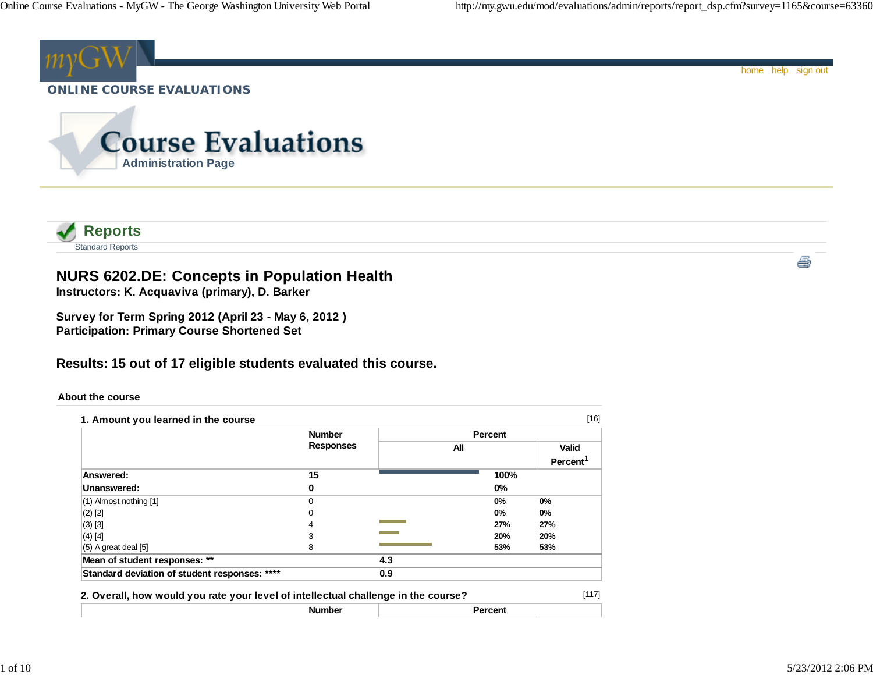

| <b>Number</b>                                                                      |   |     | Percent |     |       |  |
|------------------------------------------------------------------------------------|---|-----|---------|-----|-------|--|
| 2. Overall, how would you rate your level of intellectual challenge in the course? |   |     |         |     | [117] |  |
| Standard deviation of student responses: ****                                      |   | 0.9 |         |     |       |  |
| Mean of student responses: **                                                      |   | 4.3 |         |     |       |  |
| $(5)$ A great deal $[5]$                                                           | 8 |     | 53%     | 53% |       |  |
| $(4)$ [4]                                                                          | 3 |     | 20%     | 20% |       |  |
| $(3)$ [3]                                                                          | 4 |     | 27%     | 27% |       |  |
| $(2)$ [2]                                                                          | 0 |     | 0%      | 0%  |       |  |
| (1) Almost nothing [1]                                                             |   |     | 0%      | 0%  |       |  |

1 of 10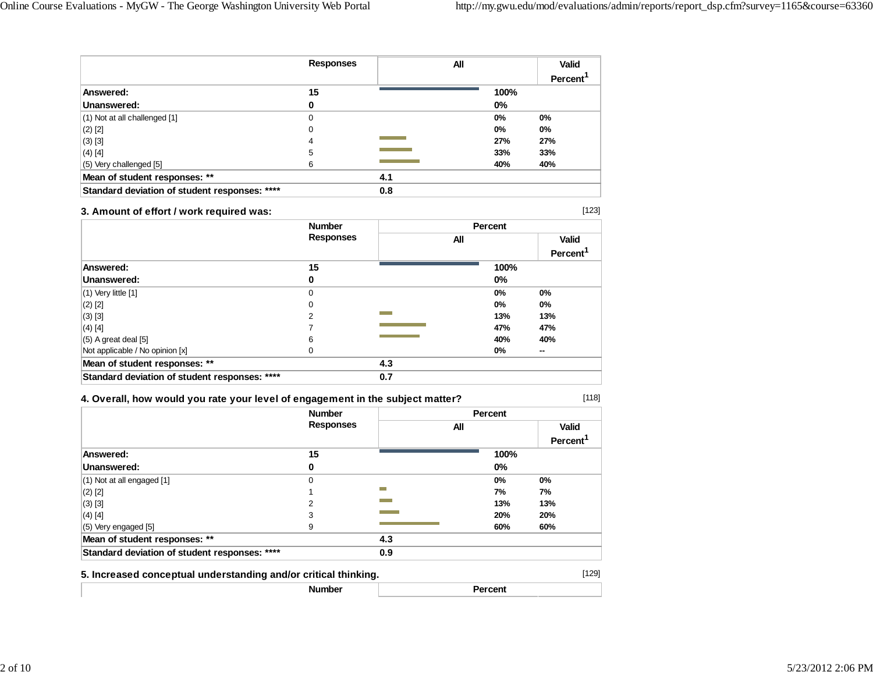|                                               | <b>Responses</b> | All |       | <b>Valid</b> |
|-----------------------------------------------|------------------|-----|-------|--------------|
|                                               |                  |     |       | Percent      |
| Answered:                                     | 15               |     | 100%  |              |
| Unanswered:                                   | 0                |     | $0\%$ |              |
| (1) Not at all challenged [1]                 | 0                |     | $0\%$ | 0%           |
| $(2)$ [2]                                     | 0                |     | $0\%$ | 0%           |
| $(3)$ [3]                                     | 4                |     | 27%   | 27%          |
| $(4)$ [4]                                     | 5                |     | 33%   | 33%          |
| (5) Very challenged [5]                       | 6                |     | 40%   | 40%          |
| Mean of student responses: **                 |                  | 4.1 |       |              |
| Standard deviation of student responses: **** |                  | 0.8 |       |              |

### **3. Amount of effort / work required was:**

[123]

[118]

|                                               | <b>Number</b><br><b>Responses</b> |     | Percent |         |
|-----------------------------------------------|-----------------------------------|-----|---------|---------|
|                                               |                                   | All |         | Valid   |
|                                               |                                   |     |         | Percent |
| Answered:                                     | 15                                |     | 100%    |         |
| Unanswered:                                   | 0                                 |     | $0\%$   |         |
| $(1)$ Very little $[1]$                       | 0                                 |     | 0%      | 0%      |
| $(2)$ [2]                                     | 0                                 |     | $0\%$   | $0\%$   |
| $(3)$ [3]                                     | 2                                 |     | 13%     | 13%     |
| $(4)$ [4]                                     |                                   |     | 47%     | 47%     |
| $(5)$ A great deal $[5]$                      | 6                                 |     | 40%     | 40%     |
| Not applicable / No opinion [x]               | 0                                 |     | $0\%$   | $\sim$  |
| Mean of student responses: **                 |                                   | 4.3 |         |         |
| Standard deviation of student responses: **** |                                   | 0.7 |         |         |

### **4. Overall, how would you rate your level of engagement in the subject matter?**

|                                                                 | <b>Number</b><br><b>Responses</b> |                  | Percent        |                      |
|-----------------------------------------------------------------|-----------------------------------|------------------|----------------|----------------------|
|                                                                 |                                   |                  | All            |                      |
|                                                                 |                                   |                  |                | Percent <sup>1</sup> |
| Answered:                                                       | 15                                |                  | 100%           |                      |
| Unanswered:                                                     | 0                                 |                  | $0\%$          |                      |
| (1) Not at all engaged [1]                                      | 0                                 |                  | 0%             | 0%                   |
| $(2)$ [2]                                                       |                                   | <b>The State</b> | 7%             | 7%                   |
| $(3)$ [3]                                                       | 2                                 |                  | 13%            | 13%                  |
| $(4)$ [4]                                                       | 3                                 |                  | 20%            | 20%                  |
| (5) Very engaged [5]                                            | 9                                 |                  | 60%            | 60%                  |
| Mean of student responses: **                                   |                                   | 4.3              |                |                      |
| Standard deviation of student responses: ****                   |                                   | 0.9              |                |                      |
| 5. Increased conceptual understanding and/or critical thinking. |                                   |                  |                | [129]                |
|                                                                 | <b>Number</b>                     |                  | <b>Percent</b> |                      |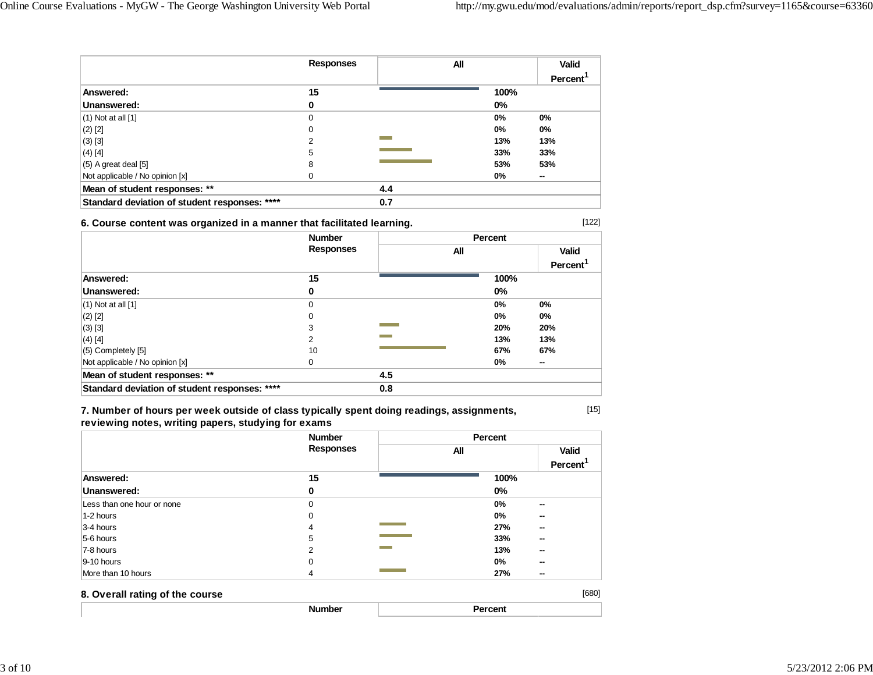[122]

[15]

|                                               | <b>Responses</b> | All |       | <b>Valid</b> |
|-----------------------------------------------|------------------|-----|-------|--------------|
|                                               |                  |     |       | Percent      |
| Answered:                                     | 15               |     | 100%  |              |
| Unanswered:                                   | 0                |     | $0\%$ |              |
| $(1)$ Not at all $[1]$                        | 0                |     | $0\%$ | $0\%$        |
| $(2)$ [2]                                     | 0                |     | $0\%$ | $0\%$        |
| $(3)$ [3]                                     | 2                |     | 13%   | 13%          |
| $(4)$ [4]                                     | 5                |     | 33%   | 33%          |
| $(5)$ A great deal $[5]$                      | 8                |     | 53%   | 53%          |
| Not applicable / No opinion [x]               |                  |     | $0\%$ | --           |
| Mean of student responses: **                 |                  | 4.4 |       |              |
| Standard deviation of student responses: **** |                  | 0.7 |       |              |

### **6. Course content was organized in a manner that facilitated learning.**

|                                               | <b>Number</b><br><b>Responses</b> |     | Percent |                         |
|-----------------------------------------------|-----------------------------------|-----|---------|-------------------------|
|                                               |                                   | All |         | Valid<br><b>Percent</b> |
| Answered:                                     | 15                                |     | 100%    |                         |
| Unanswered:                                   | 0                                 |     | $0\%$   |                         |
| $(1)$ Not at all $[1]$                        | 0                                 |     | $0\%$   | $0\%$                   |
| $(2)$ [2]                                     | 0                                 |     | $0\%$   | $0\%$                   |
| $(3)$ [3]                                     | 3                                 |     | 20%     | 20%                     |
| $(4)$ [4]                                     | 2                                 |     | 13%     | 13%                     |
| $(5)$ Completely $[5]$                        | 10                                |     | 67%     | 67%                     |
| Not applicable / No opinion [x]               | 0                                 |     | $0\%$   | $\sim$                  |
| Mean of student responses: **                 |                                   | 4.5 |         |                         |
| Standard deviation of student responses: **** |                                   | 0.8 |         |                         |

**7. Number of hours per week outside of class typically spent doing readings, assignments, reviewing notes, writing papers, studying for exams**

|                                 | <b>Number</b>    | Percent |                                      |
|---------------------------------|------------------|---------|--------------------------------------|
|                                 | <b>Responses</b> | All     | <b>Valid</b><br>Percent <sup>1</sup> |
| Answered:                       | 15               | 100%    |                                      |
| Unanswered:                     | 0                | $0\%$   |                                      |
| Less than one hour or none      | $\Omega$         | 0%      | $\sim$                               |
| 1-2 hours                       | 0                | 0%      | $\sim$                               |
| 3-4 hours                       | 4                | 27%     | --                                   |
| 5-6 hours                       | 5                | 33%     | $\sim$                               |
| 7-8 hours                       | 2                | 13%     | $\sim$                               |
| $9-10$ hours                    | 0                | 0%      | $\sim$                               |
| More than 10 hours              | 4                | 27%     | --                                   |
| 8. Overall rating of the course |                  |         | [680]                                |
|                                 | <b>Number</b>    | Percent |                                      |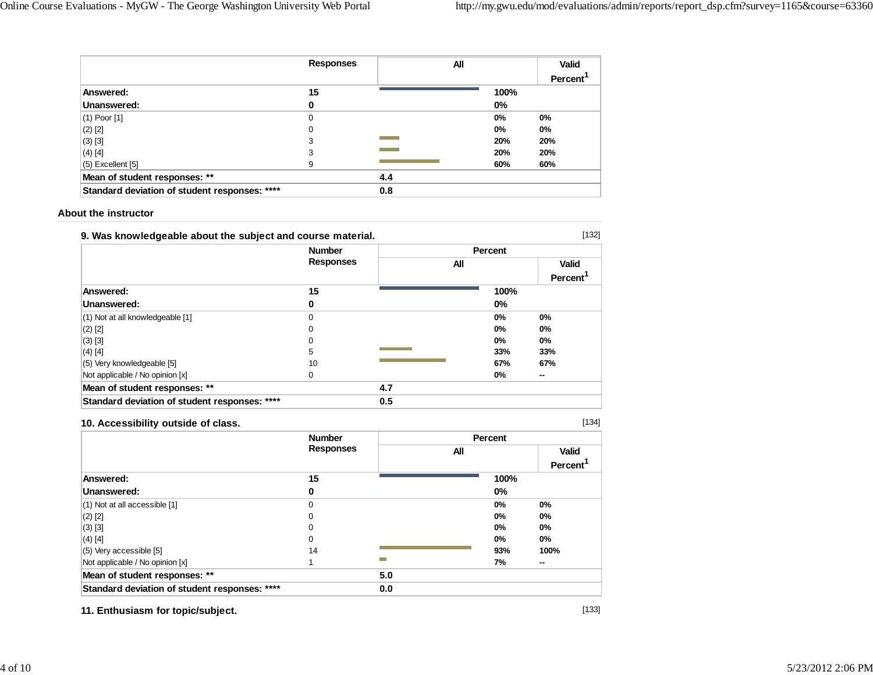|                                               | <b>Responses</b> | All |       | Valid   |
|-----------------------------------------------|------------------|-----|-------|---------|
|                                               |                  |     |       | Percent |
| Answered:                                     | 15               |     | 100%  |         |
| Unanswered:                                   | 0                |     | $0\%$ |         |
| $(1)$ Poor $[1]$                              | 0                |     | $0\%$ | 0%      |
| $(2)$ [2]                                     | 0                |     | $0\%$ | $0\%$   |
| $(3)$ [3]                                     | 3                |     | 20%   | 20%     |
| $(4)$ [4]                                     | 3                |     | 20%   | 20%     |
| $(5)$ Excellent $[5]$                         | 9                |     | 60%   | 60%     |
| Mean of student responses: **                 |                  | 4.4 |       |         |
| Standard deviation of student responses: **** |                  | 0.8 |       |         |

### **About the instructor**

| 9. Was knowledgeable about the subject and course material. |                                   |     |         |                |
|-------------------------------------------------------------|-----------------------------------|-----|---------|----------------|
|                                                             | <b>Number</b><br><b>Responses</b> |     | Percent |                |
|                                                             |                                   | All |         | Valid          |
|                                                             |                                   |     |         | <b>Percent</b> |
| Answered:                                                   | 15                                |     | 100%    |                |
| Unanswered:                                                 | 0                                 |     | $0\%$   |                |
| (1) Not at all knowledgeable [1]                            | O                                 |     | $0\%$   | $0\%$          |
| $(2)$ [2]                                                   | 0                                 |     | $0\%$   | $0\%$          |
| $(3)$ [3]                                                   | 0                                 |     | $0\%$   | $0\%$          |
| $(4)$ [4]                                                   | 5                                 |     | 33%     | 33%            |
| (5) Very knowledgeable [5]                                  | 10                                |     | 67%     | 67%            |
| Not applicable / No opinion [x]                             | 0                                 |     | 0%      | --             |
| Mean of student responses: **                               |                                   | 4.7 |         |                |
| Standard deviation of student responses: ****               |                                   | 0.5 |         |                |

### **10. Accessibility outside of class.**

[134]

|                                               | <b>Number</b>    |     |     | Percent |                      |
|-----------------------------------------------|------------------|-----|-----|---------|----------------------|
|                                               | <b>Responses</b> |     | All |         | <b>Valid</b>         |
|                                               |                  |     |     |         | Percent <sup>'</sup> |
| Answered:                                     | 15               |     |     | 100%    |                      |
| Unanswered:                                   | 0                |     |     | 0%      |                      |
| $(1)$ Not at all accessible $[1]$             | 0                |     |     | 0%      | 0%                   |
| $(2)$ [2]                                     | 0                |     |     | 0%      | 0%                   |
| $(3)$ [3]                                     | 0                |     |     | 0%      | 0%                   |
| $(4)$ [4]                                     | 0                |     |     | 0%      | $0\%$                |
| $(5)$ Very accessible [5]                     | 14               |     |     | 93%     | 100%                 |
| Not applicable / No opinion [x]               |                  | ▀   |     | 7%      | $\sim$               |
| Mean of student responses: **                 |                  | 5.0 |     |         |                      |
| Standard deviation of student responses: **** |                  | 0.0 |     |         |                      |

**11. Enthusiasm for topic/subject.**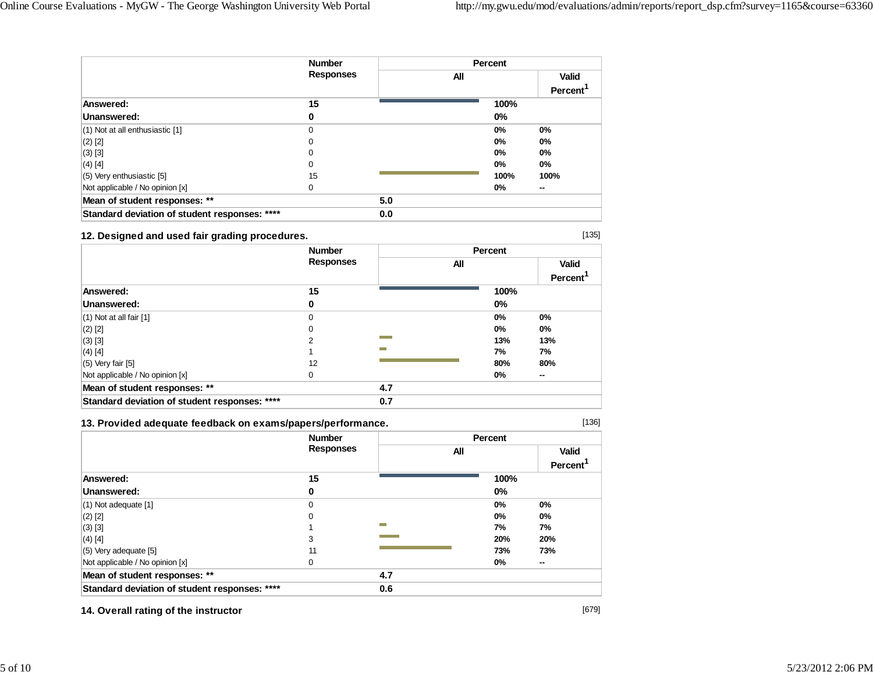|                                               | <b>Number</b><br><b>Responses</b> |     | Percent |                      |  |
|-----------------------------------------------|-----------------------------------|-----|---------|----------------------|--|
|                                               |                                   |     | All     | <b>Valid</b>         |  |
|                                               |                                   |     |         | Percent <sup>1</sup> |  |
| Answered:                                     | 15                                |     | 100%    |                      |  |
| Unanswered:                                   | 0                                 |     | $0\%$   |                      |  |
| (1) Not at all enthusiastic [1]               | 0                                 |     | $0\%$   | $0\%$                |  |
| $(2)$ [2]                                     | 0                                 |     | $0\%$   | $0\%$                |  |
| $(3)$ [3]                                     | 0                                 |     | $0\%$   | $0\%$                |  |
| $(4)$ [4]                                     | 0                                 |     | 0%      | $0\%$                |  |
| (5) Very enthusiastic [5]                     | 15                                |     | 100%    | 100%                 |  |
| Not applicable / No opinion [x]               | 0                                 |     | 0%      | --                   |  |
| Mean of student responses: **                 |                                   | 5.0 |         |                      |  |
| Standard deviation of student responses: **** |                                   | 0.0 |         |                      |  |

### **12. Designed and used fair grading procedures.**

|                                               | <b>Number</b><br><b>Responses</b> |     | Percent |                |  |
|-----------------------------------------------|-----------------------------------|-----|---------|----------------|--|
|                                               |                                   | All |         | <b>Valid</b>   |  |
|                                               |                                   |     |         | <b>Percent</b> |  |
| Answered:                                     | 15                                |     | 100%    |                |  |
| Unanswered:                                   | 0                                 |     | $0\%$   |                |  |
| $(1)$ Not at all fair $[1]$                   | 0                                 |     | $0\%$   | 0%             |  |
| $(2)$ [2]                                     | 0                                 |     | $0\%$   | $0\%$          |  |
| $(3)$ [3]                                     |                                   |     | 13%     | 13%            |  |
| $(4)$ [4]                                     |                                   | −   | 7%      | 7%             |  |
| $(5)$ Very fair $[5]$                         | 12                                |     | 80%     | 80%            |  |
| Not applicable / No opinion [x]               | 0                                 |     | $0\%$   | --             |  |
| Mean of student responses: **                 |                                   | 4.7 |         |                |  |
| Standard deviation of student responses: **** |                                   | 0.7 |         |                |  |

### **13. Provided adequate feedback on exams/papers/performance.**

[136]

[135]

|                                               | <b>Number</b><br><b>Responses</b> |     | Percent |                                      |  |
|-----------------------------------------------|-----------------------------------|-----|---------|--------------------------------------|--|
|                                               |                                   | All |         | <b>Valid</b><br>Percent <sup>'</sup> |  |
| Answered:                                     | 15                                |     | 100%    |                                      |  |
| Unanswered:                                   | 0                                 |     | 0%      |                                      |  |
| $(1)$ Not adequate $[1]$                      | 0                                 |     | 0%      | 0%                                   |  |
| $(2)$ [2]                                     | 0                                 |     | 0%      | 0%                                   |  |
| $(3)$ [3]                                     |                                   | m.  | 7%      | 7%                                   |  |
| $(4)$ [4]                                     | 3                                 |     | 20%     | 20%                                  |  |
| $(5)$ Very adequate [5]                       | 11                                |     | 73%     | 73%                                  |  |
| Not applicable / No opinion [x]               | $\Omega$                          |     | 0%      | $\sim$                               |  |
| Mean of student responses: **                 |                                   | 4.7 |         |                                      |  |
| Standard deviation of student responses: **** |                                   | 0.6 |         |                                      |  |

**14. Overall rating of the instructor**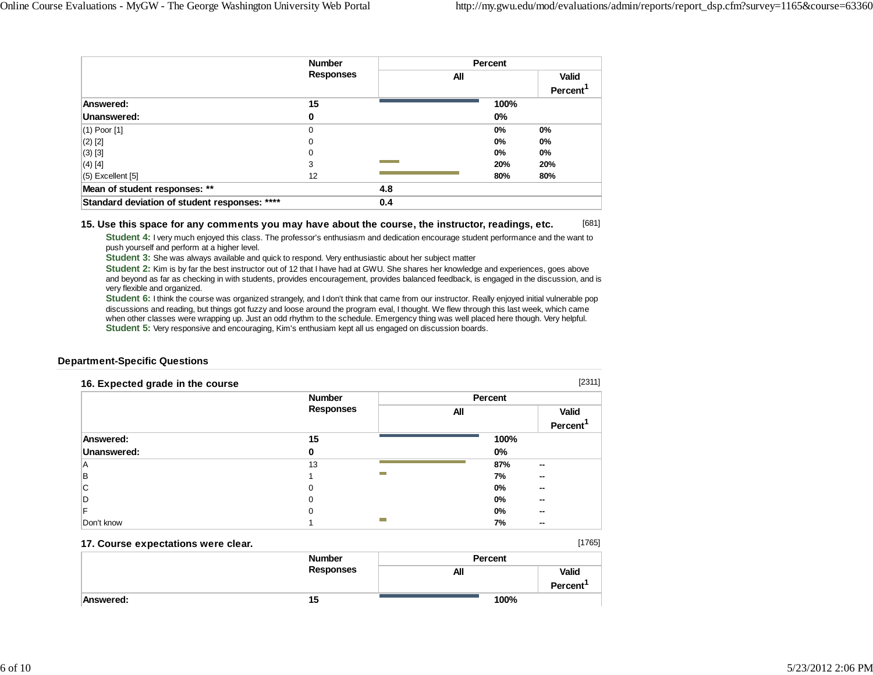[1765]

|                                               | <b>Number</b><br><b>Responses</b> |     | Percent |                      |  |
|-----------------------------------------------|-----------------------------------|-----|---------|----------------------|--|
|                                               |                                   | All |         | <b>Valid</b>         |  |
|                                               |                                   |     |         | Percent <sup>1</sup> |  |
| Answered:                                     | 15                                |     | 100%    |                      |  |
| Unanswered:                                   | 0                                 |     | $0\%$   |                      |  |
| $(1)$ Poor $[1]$                              | 0                                 |     | $0\%$   | 0%                   |  |
| $(2)$ [2]                                     | 0                                 |     | $0\%$   | 0%                   |  |
| $(3)$ [3]                                     | 0                                 |     | $0\%$   | $0\%$                |  |
| $(4)$ [4]                                     | 3                                 |     | 20%     | 20%                  |  |
| $(5)$ Excellent $[5]$                         | 12                                |     | 80%     | 80%                  |  |
| Mean of student responses: **                 |                                   | 4.8 |         |                      |  |
| Standard deviation of student responses: **** |                                   | 0.4 |         |                      |  |

#### [681] **15. Use this space for any comments you may have about the course, the instructor, readings, etc.**

**Student 4:** I very much enjoyed this class. The professor's enthusiasm and dedication encourage student performance and the want to push yourself and perform at a higher level.

**Student 3:** She was always available and quick to respond. Very enthusiastic about her subject matter

**Student 2:** Kim is by far the best instructor out of 12 that I have had at GWU. She shares her knowledge and experiences, goes above and beyond as far as checking in with students, provides encouragement, provides balanced feedback, is engaged in the discussion, and is very flexible and organized.

**Student 6:** I think the course was organized strangely, and I don't think that came from our instructor. Really enjoyed initial vulnerable pop discussions and reading, but things got fuzzy and loose around the program eval, I thought. We flew through this last week, which came when other classes were wrapping up. Just an odd rhythm to the schedule. Emergency thing was well placed here though. Very helpful. **Student 5:** Very responsive and encouraging, Kim's enthusiam kept all us engaged on discussion boards.

### **Department-Specific Questions**

| 16. Expected grade in the course |                  |         | [2311]       |
|----------------------------------|------------------|---------|--------------|
|                                  | <b>Number</b>    | Percent |              |
|                                  | <b>Responses</b> | All     | <b>Valid</b> |
|                                  |                  |         | Percent      |
| Answered:                        | 15               | 100%    |              |
| Unanswered:                      | 0                | $0\%$   |              |
| A                                | 13               | 87%     | $\sim$       |
| B                                | −                | 7%      | $\sim$       |
| С                                |                  | 0%      | --           |
|                                  |                  | $0\%$   | $\sim$       |
|                                  | U                | $0\%$   | $\sim$       |
| Don't know                       | −                | 7%      | $\sim$       |

#### **17. Course expectations were clear.**

*Number* **Number Responses PercentAll ValidPercent<sup>1</sup> Answered: 15100%**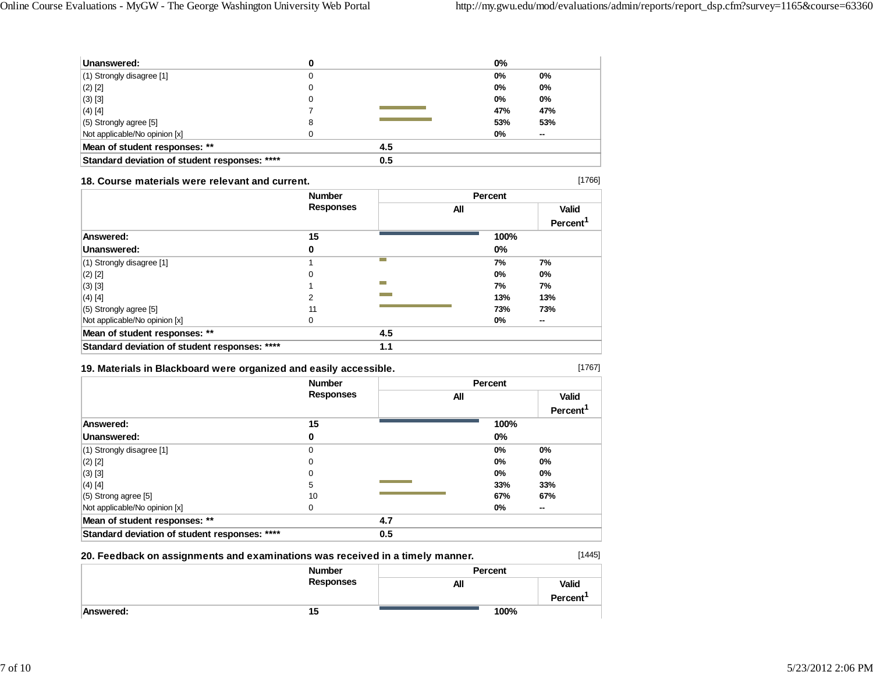| Unanswered:                                   |   |     | $0\%$ |       |
|-----------------------------------------------|---|-----|-------|-------|
| (1) Strongly disagree [1]                     | 0 |     | 0%    | $0\%$ |
| $(2)$ [2]                                     |   |     | 0%    | 0%    |
| (3) [3]                                       |   |     | 0%    | 0%    |
| $(4)$ [4]                                     |   |     | 47%   | 47%   |
| (5) Strongly agree [5]                        | 8 |     | 53%   | 53%   |
| Not applicable/No opinion [x]                 |   |     | 0%    | --    |
| Mean of student responses: **                 |   | 4.5 |       |       |
| Standard deviation of student responses: **** |   | 0.5 |       |       |

#### **18. Course materials were relevant and current.**

|                                               | <b>Number</b><br><b>Responses</b> |            | Percent |                |  |
|-----------------------------------------------|-----------------------------------|------------|---------|----------------|--|
|                                               |                                   | All        |         | <b>Valid</b>   |  |
|                                               |                                   |            |         | <b>Percent</b> |  |
| Answered:                                     | 15                                |            | 100%    |                |  |
| Unanswered:                                   | 0                                 |            | 0%      |                |  |
| $(1)$ Strongly disagree [1]                   |                                   | <b>COL</b> | 7%      | 7%             |  |
| $(2)$ [2]                                     | 0                                 |            | $0\%$   | $0\%$          |  |
| $(3)$ [3]                                     |                                   | <b>COL</b> | 7%      | 7%             |  |
| $(4)$ [4]                                     | 2                                 |            | 13%     | 13%            |  |
| $(5)$ Strongly agree [5]                      | 11                                |            | 73%     | 73%            |  |
| Not applicable/No opinion [x]                 | 0                                 |            | $0\%$   | $\sim$         |  |
| Mean of student responses: **                 |                                   | 4.5        |         |                |  |
| Standard deviation of student responses: **** |                                   | 1.1        |         |                |  |

## **19. Materials in Blackboard were organized and easily accessible.**

[1445]

[1766]

|                                               | <b>Number</b>    |     | <b>Percent</b> |                      |  |
|-----------------------------------------------|------------------|-----|----------------|----------------------|--|
|                                               | <b>Responses</b> | All |                | <b>Valid</b>         |  |
|                                               |                  |     |                | Percent <sup>'</sup> |  |
| Answered:                                     | 15               |     | 100%           |                      |  |
| Unanswered:                                   | 0                |     | $0\%$          |                      |  |
| (1) Strongly disagree [1]                     | 0                |     | 0%             | $0\%$                |  |
| $(2)$ [2]                                     | 0                |     | 0%             | $0\%$                |  |
| $(3)$ [3]                                     | 0                |     | $0\%$          | 0%                   |  |
| $(4)$ [4]                                     | 5                |     | 33%            | 33%                  |  |
| (5) Strong agree [5]                          | 10               |     | 67%            | 67%                  |  |
| Not applicable/No opinion [x]                 | 0                |     | $0\%$          | $\sim$               |  |
| Mean of student responses: **                 |                  | 4.7 |                |                      |  |
| Standard deviation of student responses: **** |                  | 0.5 |                |                      |  |

### **20. Feedback on assignments and examinations was received in a timely manner.**

|           | <b>Number</b>    | Percent |                          |  |
|-----------|------------------|---------|--------------------------|--|
|           | <b>Responses</b> | All     | <b>Valid</b><br>Percent' |  |
| Answered: | 15               | 100%    |                          |  |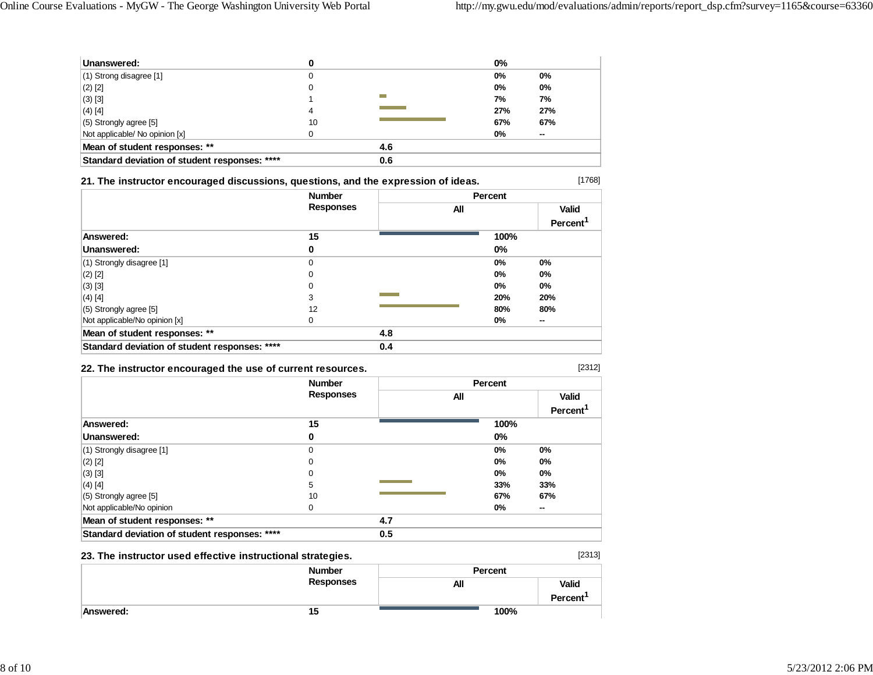| Unanswered:                                   |    |     | $0\%$ |     |
|-----------------------------------------------|----|-----|-------|-----|
| $(1)$ Strong disagree [1]                     |    |     | 0%    | 0%  |
| $(2)$ [2]                                     | 0  |     | 0%    | 0%  |
| $(3)$ [3]                                     |    |     | 7%    | 7%  |
| $(4)$ [4]                                     | 4  |     | 27%   | 27% |
| $(5)$ Strongly agree [5]                      | 10 |     | 67%   | 67% |
| Not applicable/ No opinion [x]                |    |     | $0\%$ | --  |
| Mean of student responses: **                 |    | 4.6 |       |     |
| Standard deviation of student responses: **** |    | 0.6 |       |     |

### **21. The instructor encouraged discussions, questions, and the expression of ideas.**

|                                               | <b>Number</b>    |     | Percent |       |                      |
|-----------------------------------------------|------------------|-----|---------|-------|----------------------|
|                                               | <b>Responses</b> |     | All     |       | <b>Valid</b>         |
|                                               |                  |     |         |       | Percent <sup>1</sup> |
| Answered:                                     | 15               |     |         | 100%  |                      |
| Unanswered:                                   | 0                |     |         | $0\%$ |                      |
| $(1)$ Strongly disagree $[1]$                 | 0                |     |         | $0\%$ | $0\%$                |
| $(2)$ [2]                                     | 0                |     |         | $0\%$ | 0%                   |
| $(3)$ [3]                                     | 0                |     |         | $0\%$ | $0\%$                |
| $(4)$ [4]                                     | 3                |     |         | 20%   | 20%                  |
| $(5)$ Strongly agree [5]                      | 12               |     |         | 80%   | 80%                  |
| Not applicable/No opinion [x]                 | 0                |     |         | 0%    | --                   |
| Mean of student responses: **                 |                  | 4.8 |         |       |                      |
| Standard deviation of student responses: **** |                  | 0.4 |         |       |                      |

### **22. The instructor encouraged the use of current resources.**

[2313]

**Percent<sup>1</sup>**

**100%** 

[1768]

|                                               | <b>Number</b><br><b>Responses</b> |     | Percent |                      |
|-----------------------------------------------|-----------------------------------|-----|---------|----------------------|
|                                               |                                   | All |         |                      |
|                                               |                                   |     |         | Percent <sup>1</sup> |
| Answered:                                     | 15                                |     | 100%    |                      |
| Unanswered:                                   | 0                                 |     | $0\%$   |                      |
| $(1)$ Strongly disagree $[1]$                 | $\mathbf 0$                       |     | 0%      | 0%                   |
| $(2)$ [2]                                     | $\Omega$                          |     | 0%      | 0%                   |
| $(3)$ [3]                                     | 0                                 |     | $0\%$   | $0\%$                |
| $(4)$ [4]                                     | 5                                 |     | 33%     | 33%                  |
| $(5)$ Strongly agree [5]                      | 10                                |     | 67%     | 67%                  |
| Not applicable/No opinion                     | 0                                 |     | $0\%$   | --                   |
| Mean of student responses: **                 |                                   | 4.7 |         |                      |
| Standard deviation of student responses: **** |                                   | 0.5 |         |                      |

### **23. The instructor used effective instructional strategies.**

*Number* **Number Responses Percent All Valid**

**Answered: 15**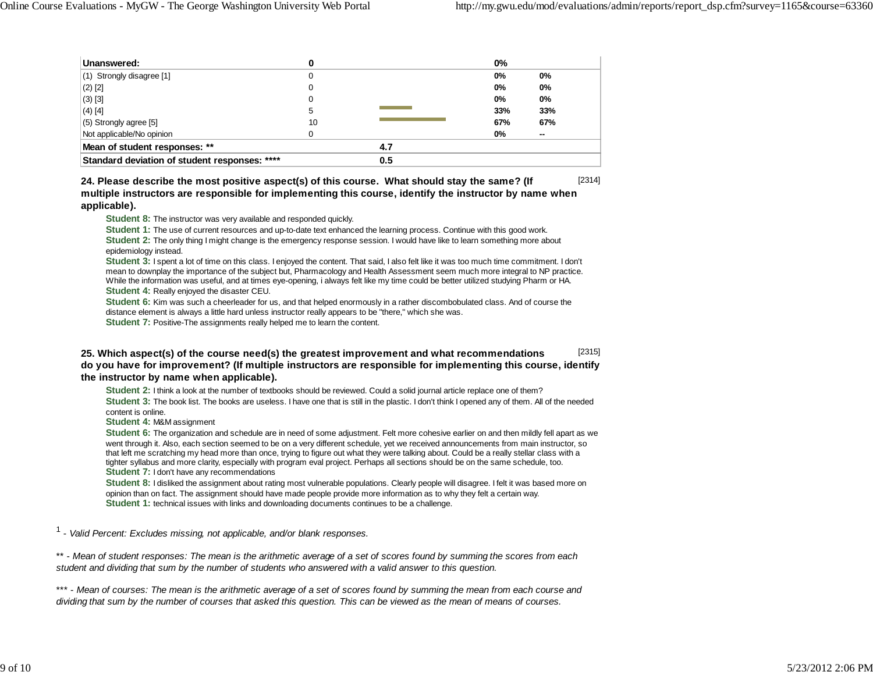| Unanswered:                                   |     |     | $0\%$ |        |
|-----------------------------------------------|-----|-----|-------|--------|
| (1) Strongly disagree [1]                     |     |     | 0%    | 0%     |
| $(2)$ [2]                                     |     |     | 0%    | 0%     |
| $(3)$ [3]                                     |     |     | 0%    | 0%     |
| $(4)$ [4]                                     | 5   |     | 33%   | 33%    |
| (5) Strongly agree [5]                        | 10  |     | 67%   | 67%    |
| Not applicable/No opinion                     |     |     | 0%    | $\sim$ |
| Mean of student responses: **                 |     | 4.7 |       |        |
| Standard deviation of student responses: **** | 0.5 |     |       |        |

[2314] **24. Please describe the most positive aspect(s) of this course. What should stay the same? (If multiple instructors are responsible for implementing this course, identify the instructor by name when applicable).**

**Student 8:** The instructor was very available and responded quickly.

**Student 1:** The use of current resources and up-to-date text enhanced the learning process. Continue with this good work. **Student 2:** The only thing I might change is the emergency response session. I would have like to learn something more about epidemiology instead.

**Student 3:** I spent a lot of time on this class. I enjoyed the content. That said, I also felt like it was too much time commitment. I don't mean to downplay the importance of the subject but, Pharmacology and Health Assessment seem much more integral to NP practice. While the information was useful, and at times eye-opening, i always felt like my time could be better utilized studying Pharm or HA. **Student 4:** Really enjoyed the disaster CEU.

**Student 6:** Kim was such a cheerleader for us, and that helped enormously in a rather discombobulated class. And of course the distance element is always a little hard unless instructor really appears to be "there," which she was.

**Student 7:** Positive-The assignments really helped me to learn the content.

#### [2315] **25. Which aspect(s) of the course need(s) the greatest improvement and what recommendations do you have for improvement? (If multiple instructors are responsible for implementing this course, identify the instructor by name when applicable).**

**Student 2:** I think a look at the number of textbooks should be reviewed. Could a solid journal article replace one of them? **Student 3:** The book list. The books are useless. I have one that is still in the plastic. I don't think I opened any of them. All of the needed content is online.

**Student 4:** M&M assignment

**Student 6:** The organization and schedule are in need of some adjustment. Felt more cohesive earlier on and then mildly fell apart as we went through it. Also, each section seemed to be on a very different schedule, yet we received announcements from main instructor, so that left me scratching my head more than once, trying to figure out what they were talking about. Could be a really stellar class with a tighter syllabus and more clarity, especially with program eval project. Perhaps all sections should be on the same schedule, too. **Student 7:** I don't have any recommendations

**Student 8:** I disliked the assignment about rating most vulnerable populations. Clearly people will disagree. I felt it was based more on opinion than on fact. The assignment should have made people provide more information as to why they felt a certain way. **Student 1:** technical issues with links and downloading documents continues to be a challenge.

1 - *Valid Percent: Excludes missing, not applicable, and/or blank responses.*

\*\* - *Mean of student responses: The mean is the arithmetic average of a set of scores found by summing the scores from each student and dividing that sum by the number of students who answered with a valid answer to this question.*

\*\*\* - *Mean of courses: The mean is the arithmetic average of a set of scores found by summing the mean from each course and dividing that sum by the number of courses that asked this question. This can be viewed as the mean of means of courses.*